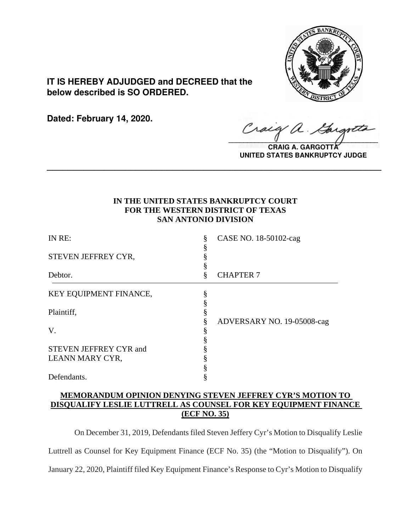

**IT IS HEREBY ADJUDGED and DECREED that the below described is SO ORDERED.**

**Dated: February 14, 2020.**

 $\sqrt{2}$ 

**CRAIG A. GARGOTT UNITED STATES BANKRUPTCY JUDGE**

# **IN THE UNITED STATES BANKRUPTCY COURT FOR THE WESTERN DISTRICT OF TEXAS SAN ANTONIO DIVISION**

**\_\_\_\_\_\_\_\_\_\_\_\_\_\_\_\_\_\_\_\_\_\_\_\_\_\_\_\_\_\_\_\_\_\_\_\_\_\_\_\_\_\_\_\_\_\_\_\_\_\_\_\_\_\_\_\_\_\_\_\_\_\_\_\_**

| CASE NO. 18-50102-cag      |
|----------------------------|
|                            |
| <b>CHAPTER 7</b>           |
|                            |
| ADVERSARY NO. 19-05008-cag |
|                            |
|                            |
|                            |
|                            |
|                            |
|                            |

# **MEMORANDUM OPINION DENYING STEVEN JEFFREY CYR'S MOTION TO DISQUALIFY LESLIE LUTTRELL AS COUNSEL FOR KEY EQUIPMENT FINANCE (ECF NO. 35)**

On December 31, 2019, Defendants filed Steven Jeffery Cyr's Motion to Disqualify Leslie Luttrell as Counsel for Key Equipment Finance (ECF No. 35) (the "Motion to Disqualify"). On January 22, 2020, Plaintiff filed Key Equipment Finance's Response to Cyr's Motion to Disqualify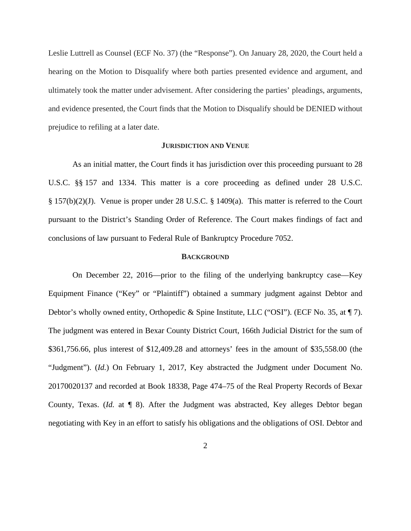Leslie Luttrell as Counsel (ECF No. 37) (the "Response"). On January 28, 2020, the Court held a hearing on the Motion to Disqualify where both parties presented evidence and argument, and ultimately took the matter under advisement. After considering the parties' pleadings, arguments, and evidence presented, the Court finds that the Motion to Disqualify should be DENIED without prejudice to refiling at a later date.

### **JURISDICTION AND VENUE**

As an initial matter, the Court finds it has jurisdiction over this proceeding pursuant to 28 U.S.C. §§ 157 and 1334. This matter is a core proceeding as defined under 28 U.S.C. § 157(b)(2)(J). Venue is proper under 28 U.S.C. § 1409(a). This matter is referred to the Court pursuant to the District's Standing Order of Reference. The Court makes findings of fact and conclusions of law pursuant to Federal Rule of Bankruptcy Procedure 7052.

#### **BACKGROUND**

On December 22, 2016—prior to the filing of the underlying bankruptcy case—Key Equipment Finance ("Key" or "Plaintiff") obtained a summary judgment against Debtor and Debtor's wholly owned entity, Orthopedic & Spine Institute, LLC ("OSI"). (ECF No. 35, at  $\P$  7). The judgment was entered in Bexar County District Court, 166th Judicial District for the sum of \$361,756.66, plus interest of \$12,409.28 and attorneys' fees in the amount of \$35,558.00 (the "Judgment"). (*Id.*) On February 1, 2017, Key abstracted the Judgment under Document No. 20170020137 and recorded at Book 18338, Page 474–75 of the Real Property Records of Bexar County, Texas. (*Id.* at ¶ 8). After the Judgment was abstracted, Key alleges Debtor began negotiating with Key in an effort to satisfy his obligations and the obligations of OSI. Debtor and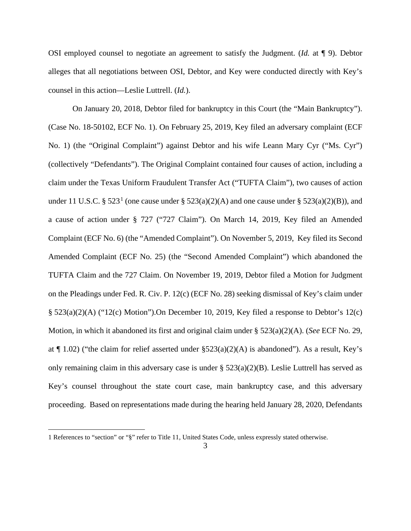OSI employed counsel to negotiate an agreement to satisfy the Judgment. (*Id.* at ¶ 9). Debtor alleges that all negotiations between OSI, Debtor, and Key were conducted directly with Key's counsel in this action—Leslie Luttrell. (*Id.*).

On January 20, 2018, Debtor filed for bankruptcy in this Court (the "Main Bankruptcy"). (Case No. 18-50102, ECF No. 1). On February 25, 2019, Key filed an adversary complaint (ECF No. 1) (the "Original Complaint") against Debtor and his wife Leann Mary Cyr ("Ms. Cyr") (collectively "Defendants"). The Original Complaint contained four causes of action, including a claim under the Texas Uniform Fraudulent Transfer Act ("TUFTA Claim"), two causes of action under 11 U.S.C. § 523.<sup>1</sup> (one cause under § 523(a)(2)(A) and one cause under § 523(a)(2)(B)), and a cause of action under § 727 ("727 Claim"). On March 14, 2019, Key filed an Amended Complaint (ECF No. 6) (the "Amended Complaint"). On November 5, 2019, Key filed its Second Amended Complaint (ECF No. 25) (the "Second Amended Complaint") which abandoned the TUFTA Claim and the 727 Claim. On November 19, 2019, Debtor filed a Motion for Judgment on the Pleadings under Fed. R. Civ. P. 12(c) (ECF No. 28) seeking dismissal of Key's claim under § 523(a)(2)(A) ("12(c) Motion").On December 10, 2019, Key filed a response to Debtor's 12(c) Motion, in which it abandoned its first and original claim under § 523(a)(2)(A). (*See* ECF No. 29, at  $\P$  1.02) ("the claim for relief asserted under  $\S523(a)(2)(A)$  is abandoned"). As a result, Key's only remaining claim in this adversary case is under § 523(a)(2)(B). Leslie Luttrell has served as Key's counsel throughout the state court case, main bankruptcy case, and this adversary proceeding. Based on representations made during the hearing held January 28, 2020, Defendants

<sup>1</sup> References to "section" or "§" refer to Title 11, United States Code, unless expressly stated otherwise.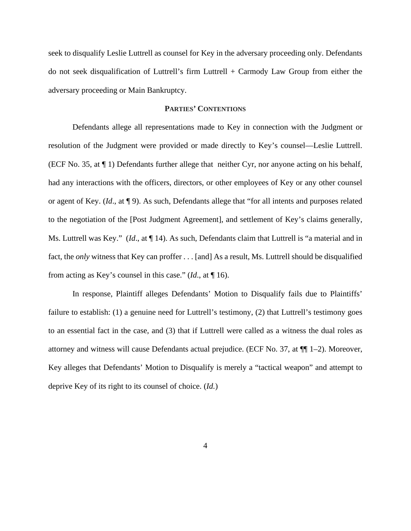seek to disqualify Leslie Luttrell as counsel for Key in the adversary proceeding only. Defendants do not seek disqualification of Luttrell's firm Luttrell + Carmody Law Group from either the adversary proceeding or Main Bankruptcy.

### **PARTIES' CONTENTIONS**

Defendants allege all representations made to Key in connection with the Judgment or resolution of the Judgment were provided or made directly to Key's counsel—Leslie Luttrell. (ECF No. 35, at ¶ 1) Defendants further allege that neither Cyr, nor anyone acting on his behalf, had any interactions with the officers, directors, or other employees of Key or any other counsel or agent of Key. (*Id*., at ¶ 9). As such, Defendants allege that "for all intents and purposes related to the negotiation of the [Post Judgment Agreement], and settlement of Key's claims generally, Ms. Luttrell was Key." (*Id*., at ¶ 14). As such, Defendants claim that Luttrell is "a material and in fact, the *only* witness that Key can proffer . . . [and] As a result, Ms. Luttrell should be disqualified from acting as Key's counsel in this case." (*Id*., at ¶ 16).

In response, Plaintiff alleges Defendants' Motion to Disqualify fails due to Plaintiffs' failure to establish: (1) a genuine need for Luttrell's testimony, (2) that Luttrell's testimony goes to an essential fact in the case, and (3) that if Luttrell were called as a witness the dual roles as attorney and witness will cause Defendants actual prejudice. (ECF No. 37, at ¶¶ 1–2). Moreover, Key alleges that Defendants' Motion to Disqualify is merely a "tactical weapon" and attempt to deprive Key of its right to its counsel of choice. (*Id.*)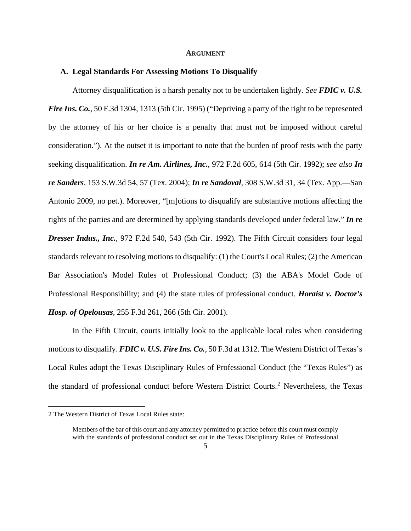#### **ARGUMENT**

#### **A. Legal Standards For Assessing Motions To Disqualify**

Attorney disqualification is a harsh penalty not to be undertaken lightly. *See FDIC v. U.S. Fire Ins. Co.*, 50 F.3d 1304, 1313 (5th Cir. 1995) ("Depriving a party of the right to be represented by the attorney of his or her choice is a penalty that must not be imposed without careful consideration."). At the outset it is important to note that the burden of proof rests with the party seeking disqualification. *In re Am. Airlines, Inc.*, 972 F.2d 605, 614 (5th Cir. 1992); *see also In re Sanders*, 153 S.W.3d 54, 57 (Tex. 2004); *In re Sandoval*, 308 S.W.3d 31, 34 (Tex. App.—San Antonio 2009, no pet.). Moreover, "[m]otions to disqualify are substantive motions affecting the rights of the parties and are determined by applying standards developed under federal law." *In re Dresser Indus., Inc.,* 972 F.2d 540, 543 (5th Cir. 1992). The Fifth Circuit considers four legal standards relevant to resolving motions to disqualify: (1) the Court's Local Rules; (2) the American Bar Association's Model Rules of Professional Conduct; (3) the ABA's Model Code of Professional Responsibility; and (4) the state rules of professional conduct. *Horaist v. Doctor's Hosp. of Opelousas,* 255 F.3d 261, 266 (5th Cir. 2001).

In the Fifth Circuit, courts initially look to the applicable local rules when considering motions to disqualify. *FDIC v. U.S. Fire Ins. Co.*, 50 F.3d at 1312. The Western District of Texas's Local Rules adopt the Texas Disciplinary Rules of Professional Conduct (the "Texas Rules") as the standard of professional conduct before Western District Courts.<sup>2</sup> Nevertheless, the Texas

<sup>2</sup> The Western District of Texas Local Rules state:

Members of the bar of this court and any attorney permitted to practice before this court must comply with the standards of professional conduct set out in the Texas Disciplinary Rules of Professional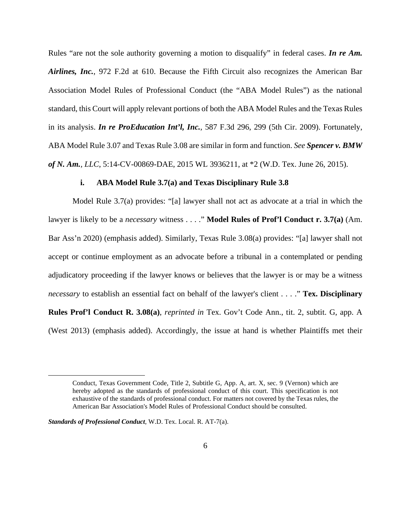Rules "are not the sole authority governing a motion to disqualify" in federal cases. *In re Am. Airlines, Inc.*, 972 F.2d at 610. Because the Fifth Circuit also recognizes the American Bar Association Model Rules of Professional Conduct (the "ABA Model Rules") as the national standard, this Court will apply relevant portions of both the ABA Model Rules and the Texas Rules in its analysis. *In re ProEducation Int'l, Inc.*, 587 F.3d 296, 299 (5th Cir. 2009). Fortunately, ABA Model Rule 3.07 and Texas Rule 3.08 are similar in form and function. *See Spencer v. BMW of N. Am., LLC*, 5:14-CV-00869-DAE, 2015 WL 3936211, at \*2 (W.D. Tex. June 26, 2015).

### **i. ABA Model Rule 3.7(a) and Texas Disciplinary Rule 3.8**

Model Rule 3.7(a) provides: "[a] lawyer shall not act as advocate at a trial in which the lawyer is likely to be a *necessary* witness . . . ." **Model Rules of Prof'l Conduct r. 3.7(a)** (Am. Bar Ass'n 2020) (emphasis added). Similarly, Texas Rule 3.08(a) provides: "[a] lawyer shall not accept or continue employment as an advocate before a tribunal in a contemplated or pending adjudicatory proceeding if the lawyer knows or believes that the lawyer is or may be a witness *necessary* to establish an essential fact on behalf of the lawyer's client . . . ." **Tex. Disciplinary Rules Prof'l Conduct R. 3.08(a)**, *reprinted in* Tex. Gov't Code Ann., tit. 2, subtit. G, app. A (West 2013) (emphasis added). Accordingly, the issue at hand is whether Plaintiffs met their

*Standards of Professional Conduct*, W.D. Tex. Local. R. AT-7(a).

Conduct, Texas Government Code, Title 2, Subtitle G, App. A, art. X, sec. 9 (Vernon) which are hereby adopted as the standards of professional conduct of this court. This specification is not exhaustive of the standards of professional conduct. For matters not covered by the Texas rules, the American Bar Association's Model Rules of Professional Conduct should be consulted.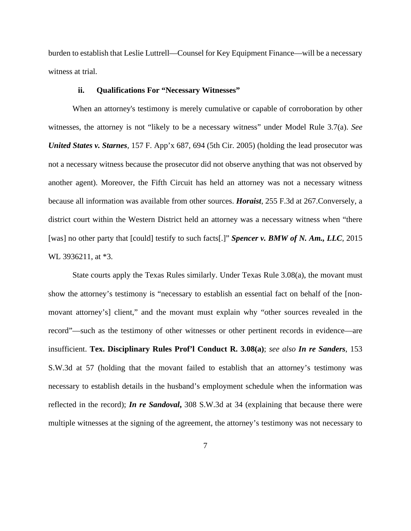burden to establish that Leslie Luttrell—Counsel for Key Equipment Finance—will be a necessary witness at trial.

### **ii. Qualifications For "Necessary Witnesses"**

When an attorney's testimony is merely cumulative or capable of corroboration by other witnesses, the attorney is not "likely to be a necessary witness" under Model Rule 3.7(a). *See United States v. Starnes,* 157 F. App'x 687, 694 (5th Cir. 2005) (holding the lead prosecutor was not a necessary witness because the prosecutor did not observe anything that was not observed by another agent). Moreover, the Fifth Circuit has held an attorney was not a necessary witness because all information was available from other sources. *Horaist*, 255 F.3d at 267.Conversely, a district court within the Western District held an attorney was a necessary witness when "there [was] no other party that [could] testify to such facts[.]" *Spencer v. BMW of N. Am., LLC*, 2015 WL 3936211, at  $*3$ .

State courts apply the Texas Rules similarly. Under Texas Rule 3.08(a), the movant must show the attorney's testimony is "necessary to establish an essential fact on behalf of the [nonmovant attorney's] client," and the movant must explain why "other sources revealed in the record"—such as the testimony of other witnesses or other pertinent records in evidence—are insufficient. **Tex. Disciplinary Rules Prof'l Conduct R. 3.08(a)**; *see also In re Sanders*, 153 S.W.3d at 57 (holding that the movant failed to establish that an attorney's testimony was necessary to establish details in the husband's employment schedule when the information was reflected in the record); *In re Sandoval***,** 308 S.W.3d at 34 (explaining that because there were multiple witnesses at the signing of the agreement, the attorney's testimony was not necessary to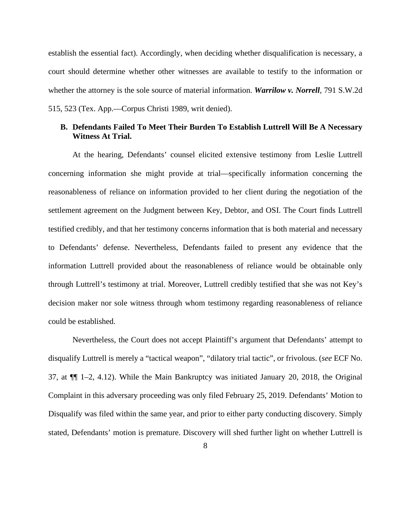establish the essential fact). Accordingly, when deciding whether disqualification is necessary, a court should determine whether other witnesses are available to testify to the information or whether the attorney is the sole source of material information. *Warrilow v. Norrell,* 791 S.W.2d 515, 523 (Tex. App.—Corpus Christi 1989, writ denied).

### **B. Defendants Failed To Meet Their Burden To Establish Luttrell Will Be A Necessary Witness At Trial.**

At the hearing, Defendants' counsel elicited extensive testimony from Leslie Luttrell concerning information she might provide at trial—specifically information concerning the reasonableness of reliance on information provided to her client during the negotiation of the settlement agreement on the Judgment between Key, Debtor, and OSI. The Court finds Luttrell testified credibly, and that her testimony concerns information that is both material and necessary to Defendants' defense. Nevertheless, Defendants failed to present any evidence that the information Luttrell provided about the reasonableness of reliance would be obtainable only through Luttrell's testimony at trial. Moreover, Luttrell credibly testified that she was not Key's decision maker nor sole witness through whom testimony regarding reasonableness of reliance could be established.

Nevertheless, the Court does not accept Plaintiff's argument that Defendants' attempt to disqualify Luttrell is merely a "tactical weapon", "dilatory trial tactic", or frivolous. (*see* ECF No. 37, at  $\P$  1–2, 4.12). While the Main Bankruptcy was initiated January 20, 2018, the Original Complaint in this adversary proceeding was only filed February 25, 2019. Defendants' Motion to Disqualify was filed within the same year, and prior to either party conducting discovery. Simply stated, Defendants' motion is premature. Discovery will shed further light on whether Luttrell is